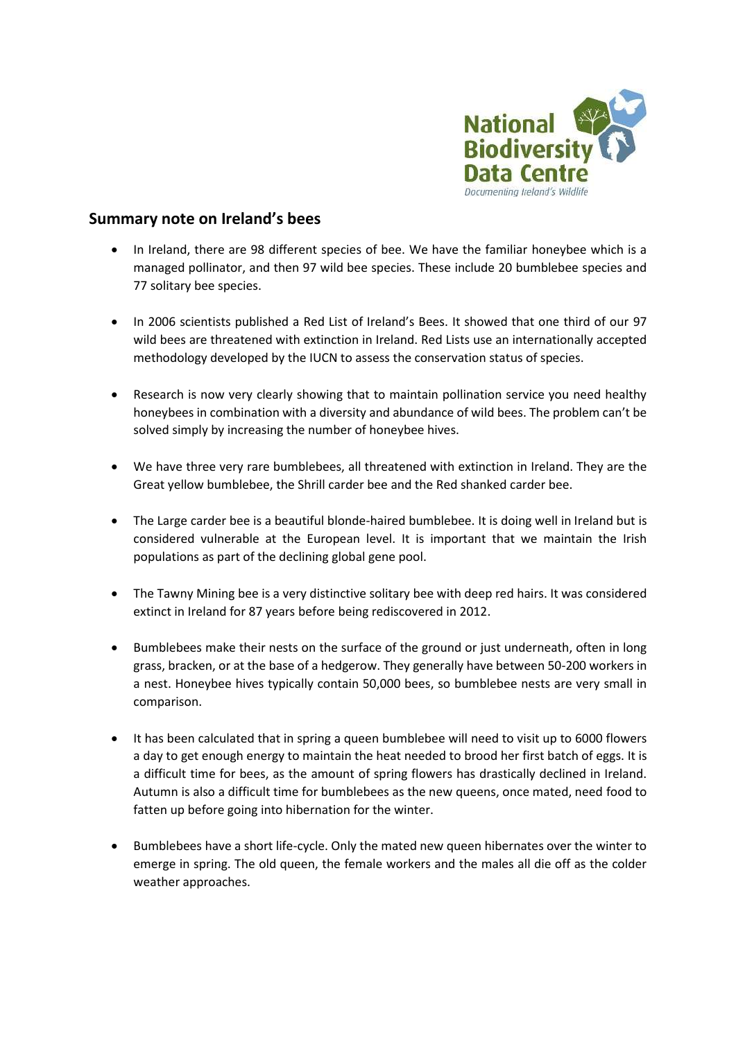

## **Summary note on Ireland's bees**

- In Ireland, there are 98 different species of bee. We have the familiar honeybee which is a managed pollinator, and then 97 wild bee species. These include 20 bumblebee species and 77 solitary bee species.
- In 2006 scientists published a Red List of Ireland's Bees. It showed that one third of our 97 wild bees are threatened with extinction in Ireland. Red Lists use an internationally accepted methodology developed by the IUCN to assess the conservation status of species.
- Research is now very clearly showing that to maintain pollination service you need healthy honeybees in combination with a diversity and abundance of wild bees. The problem can't be solved simply by increasing the number of honeybee hives.
- We have three very rare bumblebees, all threatened with extinction in Ireland. They are the Great yellow bumblebee, the Shrill carder bee and the Red shanked carder bee.
- The Large carder bee is a beautiful blonde-haired bumblebee. It is doing well in Ireland but is considered vulnerable at the European level. It is important that we maintain the Irish populations as part of the declining global gene pool.
- The Tawny Mining bee is a very distinctive solitary bee with deep red hairs. It was considered extinct in Ireland for 87 years before being rediscovered in 2012.
- Bumblebees make their nests on the surface of the ground or just underneath, often in long grass, bracken, or at the base of a hedgerow. They generally have between 50-200 workers in a nest. Honeybee hives typically contain 50,000 bees, so bumblebee nests are very small in comparison.
- It has been calculated that in spring a queen bumblebee will need to visit up to 6000 flowers a day to get enough energy to maintain the heat needed to brood her first batch of eggs. It is a difficult time for bees, as the amount of spring flowers has drastically declined in Ireland. Autumn is also a difficult time for bumblebees as the new queens, once mated, need food to fatten up before going into hibernation for the winter.
- Bumblebees have a short life-cycle. Only the mated new queen hibernates over the winter to emerge in spring. The old queen, the female workers and the males all die off as the colder weather approaches.